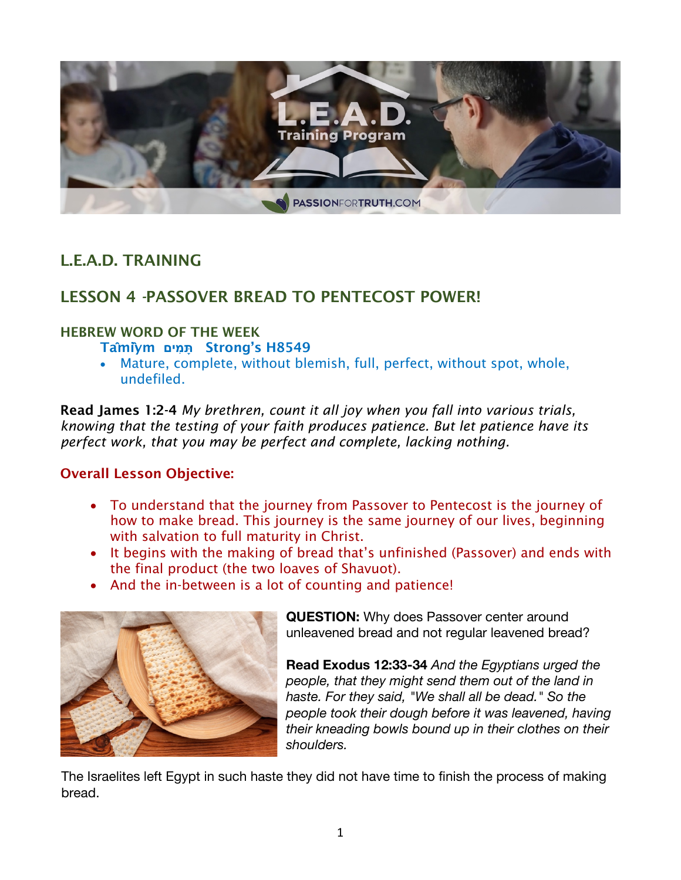

# L.E.A.D. TRAINING

## LESSON 4 *-*PASSOVER BREAD TO PENTECOST POWER!

#### HEBREW WORD OF THE WEEK

Ta**̂**mi**̂**ym **מיםִ תָּ** Strong's H8549

• Mature, complete, without blemish, full, perfect, without spot, whole, undefiled.

Read James 1:2-4 *My brethren, count it all joy when you fall into various trials, knowing that the testing of your faith produces patience. But let patience have its perfect work, that you may be perfect and complete, lacking nothing.*

### Overall Lesson Objective:

- To understand that the journey from Passover to Pentecost is the journey of how to make bread. This journey is the same journey of our lives, beginning with salvation to full maturity in Christ.
- It begins with the making of bread that's unfinished (Passover) and ends with the final product (the two loaves of Shavuot).
- And the in-between is a lot of counting and patience!



**QUESTION:** Why does Passover center around unleavened bread and not regular leavened bread?

**Read Exodus 12:33-34** *And the Egyptians urged the people, that they might send them out of the land in haste. For they said, "We shall all be dead." So the people took their dough before it was leavened, having their kneading bowls bound up in their clothes on their shoulders.*

The Israelites left Egypt in such haste they did not have time to finish the process of making bread.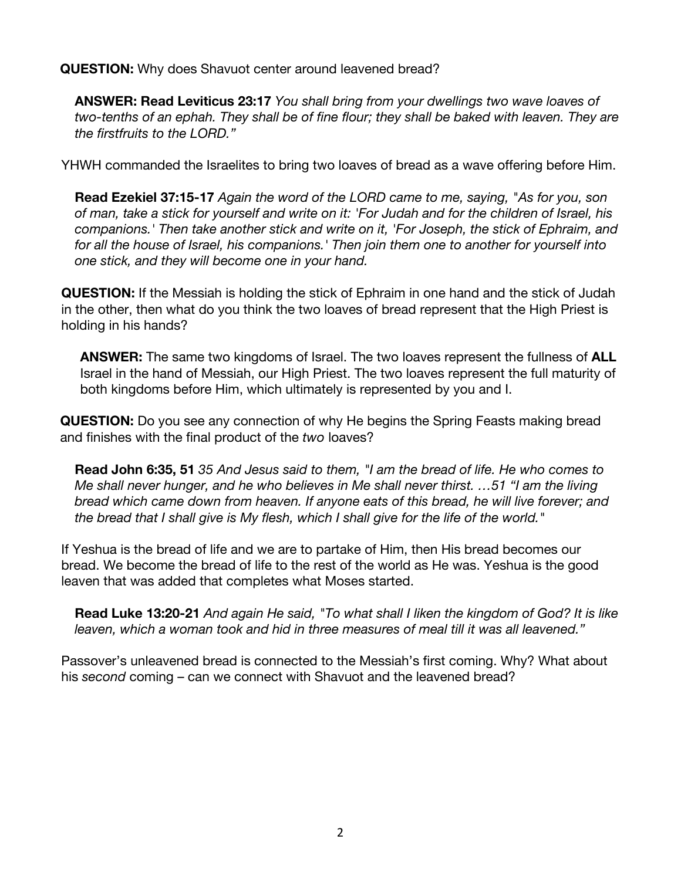**QUESTION:** Why does Shavuot center around leavened bread?

**ANSWER: Read Leviticus 23:17** *You shall bring from your dwellings two wave loaves of two-tenths of an ephah. They shall be of fine flour; they shall be baked with leaven. They are the firstfruits to the LORD."* 

YHWH commanded the Israelites to bring two loaves of bread as a wave offering before Him.

**Read Ezekiel 37:15-17** *Again the word of the LORD came to me, saying, "As for you, son of man, take a stick for yourself and write on it: 'For Judah and for the children of Israel, his companions.' Then take another stick and write on it, 'For Joseph, the stick of Ephraim, and for all the house of Israel, his companions.' Then join them one to another for yourself into one stick, and they will become one in your hand.*

**QUESTION:** If the Messiah is holding the stick of Ephraim in one hand and the stick of Judah in the other, then what do you think the two loaves of bread represent that the High Priest is holding in his hands?

**ANSWER:** The same two kingdoms of Israel. The two loaves represent the fullness of **ALL** Israel in the hand of Messiah, our High Priest. The two loaves represent the full maturity of both kingdoms before Him, which ultimately is represented by you and I.

**QUESTION:** Do you see any connection of why He begins the Spring Feasts making bread and finishes with the final product of the *two* loaves?

**Read John 6:35, 51** *35 And Jesus said to them, "I am the bread of life. He who comes to Me shall never hunger, and he who believes in Me shall never thirst. …51 "I am the living bread which came down from heaven. If anyone eats of this bread, he will live forever; and the bread that I shall give is My flesh, which I shall give for the life of the world."*

If Yeshua is the bread of life and we are to partake of Him, then His bread becomes our bread. We become the bread of life to the rest of the world as He was. Yeshua is the good leaven that was added that completes what Moses started.

**Read Luke 13:20-21** *And again He said, "To what shall I liken the kingdom of God? It is like leaven, which a woman took and hid in three measures of meal till it was all leavened."*

Passover's unleavened bread is connected to the Messiah's first coming. Why? What about his *second* coming – can we connect with Shavuot and the leavened bread?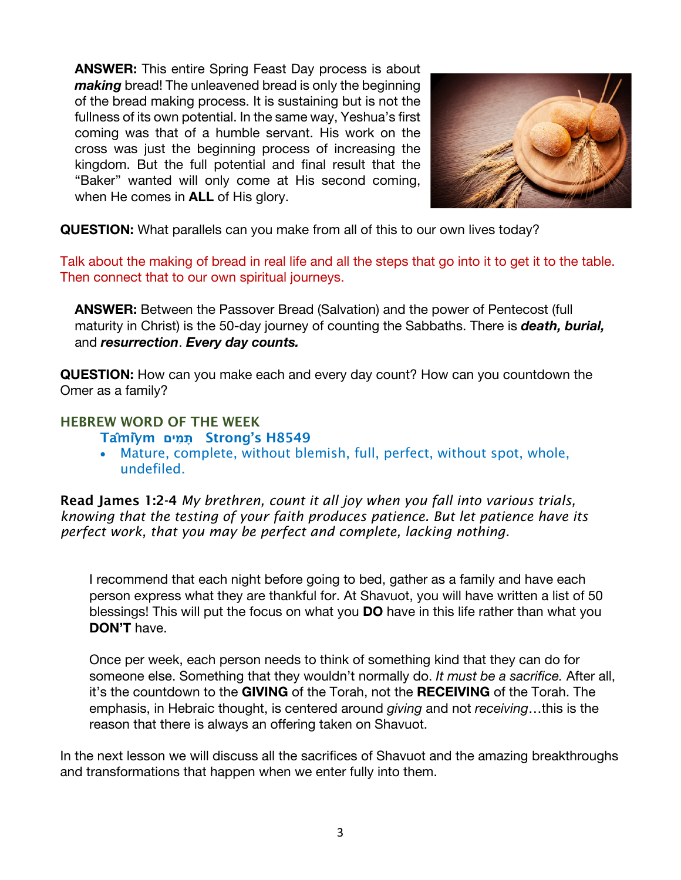**ANSWER:** This entire Spring Feast Day process is about *making* bread! The unleavened bread is only the beginning of the bread making process. It is sustaining but is not the fullness of its own potential. In the same way, Yeshua's first coming was that of a humble servant. His work on the cross was just the beginning process of increasing the kingdom. But the full potential and final result that the "Baker" wanted will only come at His second coming, when He comes in **ALL** of His glory.



**QUESTION:** What parallels can you make from all of this to our own lives today?

Talk about the making of bread in real life and all the steps that go into it to get it to the table. Then connect that to our own spiritual journeys.

**ANSWER:** Between the Passover Bread (Salvation) and the power of Pentecost (full maturity in Christ) is the 50-day journey of counting the Sabbaths. There is *death, burial,*  and *resurrection*. *Every day counts.*

**QUESTION:** How can you make each and every day count? How can you countdown the Omer as a family?

### HEBREW WORD OF THE WEEK

- Ta**̂**mi**̂**ym **מיםִ תָּ** Strong's H8549
- Mature, complete, without blemish, full, perfect, without spot, whole, undefiled.

Read James 1:2-4 *My brethren, count it all joy when you fall into various trials, knowing that the testing of your faith produces patience. But let patience have its perfect work, that you may be perfect and complete, lacking nothing.*

I recommend that each night before going to bed, gather as a family and have each person express what they are thankful for. At Shavuot, you will have written a list of 50 blessings! This will put the focus on what you **DO** have in this life rather than what you **DON'T** have.

Once per week, each person needs to think of something kind that they can do for someone else. Something that they wouldn't normally do. *It must be a sacrifice.* After all, it's the countdown to the **GIVING** of the Torah, not the **RECEIVING** of the Torah. The emphasis, in Hebraic thought, is centered around *giving* and not *receiving*…this is the reason that there is always an offering taken on Shavuot.

In the next lesson we will discuss all the sacrifices of Shavuot and the amazing breakthroughs and transformations that happen when we enter fully into them.